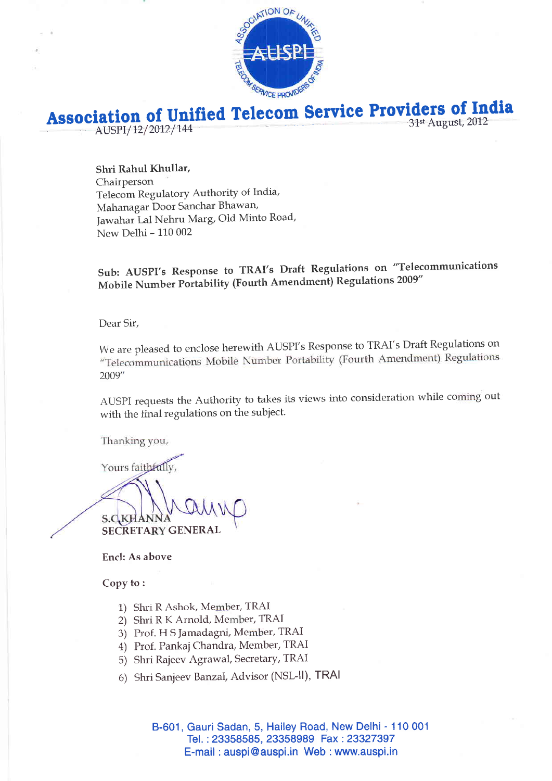

## Association of Unified Telecom Service Providers of India AUSPI/12/2012/144

i,

Shri Rahul Khullar, Chairperson Telecom Regulatory Authority of India, Mahanagar Door Sanchar Bhawan, Jawahar Lal Nehru Marg, Old Minto Road, New Delhi - 110 002

Sub: AUSPI's Response to TRAI's Draft Regulations on "Telecommunications Mobile Number Portability (Fourth Amendment) Regulations 2009"

Dear Sir,

We are pleased to enclose herewith AUSPI's Response to TRAI's Draft Regulations on "Telecommunications Mobile Number Portability (Fourth Amendment) Regulations 2009"

AUSPI requests the Authority to takes its views into consideration while coming out with the final regulations on the subject.

Thanking you,

Yours faithfully,

**S.C.KHAN** SECRETARY GENERAI

Encl: As above

Copy to :

- 1) Shri R Ashok, Member, TRAI
- 2) Shri R K Arnold, Member, TRAI
- 3) Prof. H S Jamadagni, Member, TRAI
- 4) Prof. Pankaj Chandra, Member, TRAI
- 5) Shri Rajeev Agrawal, Secretary, TRAI

6) Shri Sanjeev Banzal, Advisor (NSL-Il), TRAI

8-601 , Gauri Sadan, 5, Hailey Road, New Delhi - 1 10 001 Tel. : 23358585, 23358989 Fax :23327397 E-mail : auspi@auspi.in Web :www.auspi.in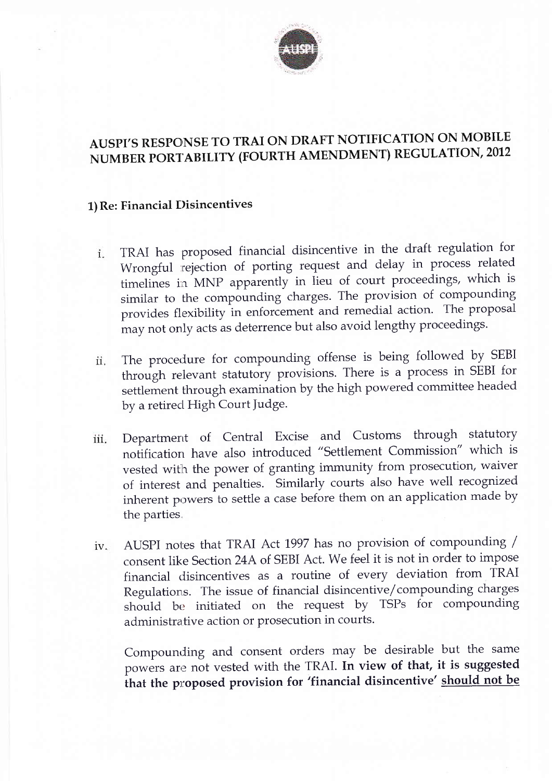

## AUSPI'S RESPONSE TO TRAI ON DRAFT NOTIFICATION ON MOBILE NUMBER PORTABILITY (FOURTH AMENDMENT) REGULATION, 2012

## 1) Re: Financial Disincentives

- i. TRAI has proposed financial disincentive in the draft regulation for Wrongful rejection of porting request and delay in process related timelines in MNP apparently in lieu of court proceedings, which is similar to the compounding charges. The provision of compounding provides flexibility in enforcement and remedial action. The proposal may not only acts as deterrence but also avoid lengthy proceedings.
- ii. The procedure for compounding offense is being followed by SEBI through relevant statutory provisions. There is a process in SEBI for settlement through examination by the high powered committee headed by a retired High Court Judge.
- iii. Department of Central Excise and Customs through statutory notification have also introduced "Settlement Commission" which is vested with the power of granting immunity from prosecution, waiver of interest and penalties. Similarly courts also have well recognized inherent powers to settle a case before them on an application made by the parties
- AUSPI notes that TRAI Act 1997 has no provision of compounding / consent like Section 24A of SEBI Act. We feel it is not in order to impose financial disincentives as a routine of every deviation from TRAI Regulatiors. The issue of financial disincentive/compounding charges should be initiated on the request by TSPs for compounding administrative action or prosecution in courts. iv.

Compounding and consent orders may be desirable but the same powers are not vested with the TRAI. In view of that, it is suggested that the proposed provision for 'financial disincentive' should not be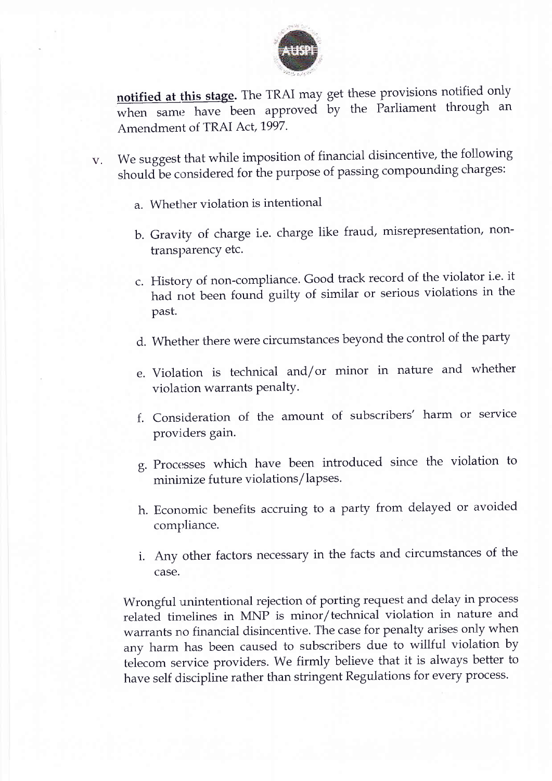

notified at this stage. The TRAI may get these provisions notified only when same have been approved by the Parliament through an Amendment of TRAI Act, 1997.

- $V_{\rm t}$ We suggest that while imposition of financial disincentive, the following should be considered for the purpose of passing compounding charges:
	- a. Whether violation is intentional
	- b. Gravity of charge i.e. charge like fraud, misrepresentation, nontransparency etc.
	- c. History of non-compliance. Good track record of the violator i.e. it had not been found guilty of similar or serious violations in the past.
	- d. Whether there were circumstances beyond the control of the party
	- e. Violation is technical and/or minor in nature and whether violation warrants penalty.
	- f. Consideration of the amount of subscribers' harm or service providers gain.
	- g. Processes which have been introduced since the violation to minimize future violations/lapses.
	- h. Economic benefits accruing to a party from delayed or avoided compliance.
	- i. Any other factors necessary in the facts and circumstances of the case.

Wrongful unintentional rejection of porting request and delay in process related tinrelines in MNP is minor/technical violation in nature and warrants no financial disincentive. The case for penalty arises only when any harm has been caused to subscribers due to willful violation by telecom service providers. We firmly believe that it is always better to have self discipline rather than stringent Regulations for every process.